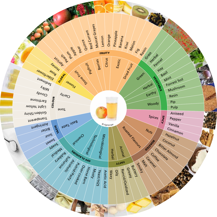